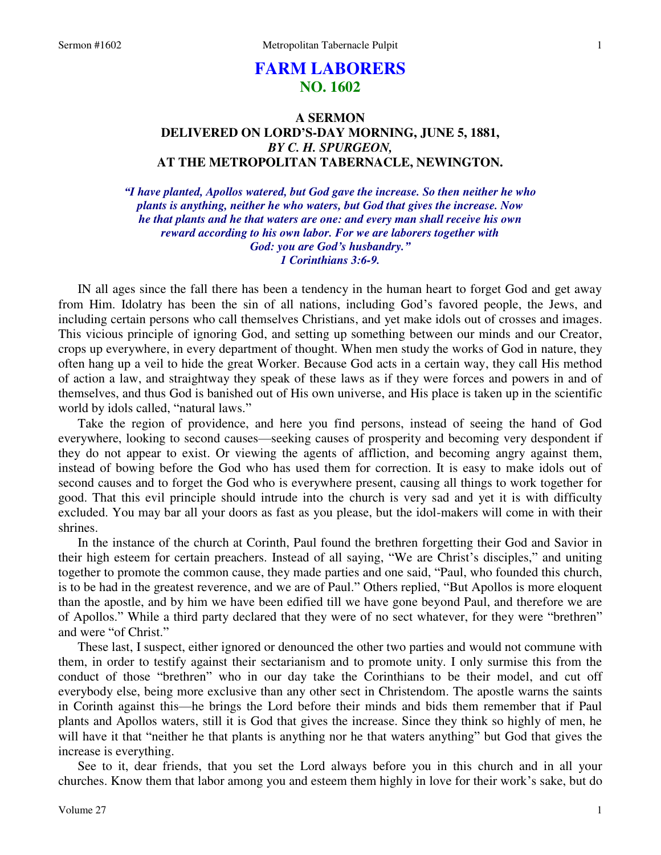# **FARM LABORERS NO. 1602**

# **A SERMON DELIVERED ON LORD'S-DAY MORNING, JUNE 5, 1881,**  *BY C. H. SPURGEON,*  **AT THE METROPOLITAN TABERNACLE, NEWINGTON.**

*"I have planted, Apollos watered, but God gave the increase. So then neither he who plants is anything, neither he who waters, but God that gives the increase. Now he that plants and he that waters are one: and every man shall receive his own reward according to his own labor. For we are laborers together with God: you are God's husbandry." 1 Corinthians 3:6-9.* 

IN all ages since the fall there has been a tendency in the human heart to forget God and get away from Him. Idolatry has been the sin of all nations, including God's favored people, the Jews, and including certain persons who call themselves Christians, and yet make idols out of crosses and images. This vicious principle of ignoring God, and setting up something between our minds and our Creator, crops up everywhere, in every department of thought. When men study the works of God in nature, they often hang up a veil to hide the great Worker. Because God acts in a certain way, they call His method of action a law, and straightway they speak of these laws as if they were forces and powers in and of themselves, and thus God is banished out of His own universe, and His place is taken up in the scientific world by idols called, "natural laws."

 Take the region of providence, and here you find persons, instead of seeing the hand of God everywhere, looking to second causes—seeking causes of prosperity and becoming very despondent if they do not appear to exist. Or viewing the agents of affliction, and becoming angry against them, instead of bowing before the God who has used them for correction. It is easy to make idols out of second causes and to forget the God who is everywhere present, causing all things to work together for good. That this evil principle should intrude into the church is very sad and yet it is with difficulty excluded. You may bar all your doors as fast as you please, but the idol-makers will come in with their shrines.

 In the instance of the church at Corinth, Paul found the brethren forgetting their God and Savior in their high esteem for certain preachers. Instead of all saying, "We are Christ's disciples," and uniting together to promote the common cause, they made parties and one said, "Paul, who founded this church, is to be had in the greatest reverence, and we are of Paul." Others replied, "But Apollos is more eloquent than the apostle, and by him we have been edified till we have gone beyond Paul, and therefore we are of Apollos." While a third party declared that they were of no sect whatever, for they were "brethren" and were "of Christ."

 These last, I suspect, either ignored or denounced the other two parties and would not commune with them, in order to testify against their sectarianism and to promote unity. I only surmise this from the conduct of those "brethren" who in our day take the Corinthians to be their model, and cut off everybody else, being more exclusive than any other sect in Christendom. The apostle warns the saints in Corinth against this—he brings the Lord before their minds and bids them remember that if Paul plants and Apollos waters, still it is God that gives the increase. Since they think so highly of men, he will have it that "neither he that plants is anything nor he that waters anything" but God that gives the increase is everything.

 See to it, dear friends, that you set the Lord always before you in this church and in all your churches. Know them that labor among you and esteem them highly in love for their work's sake, but do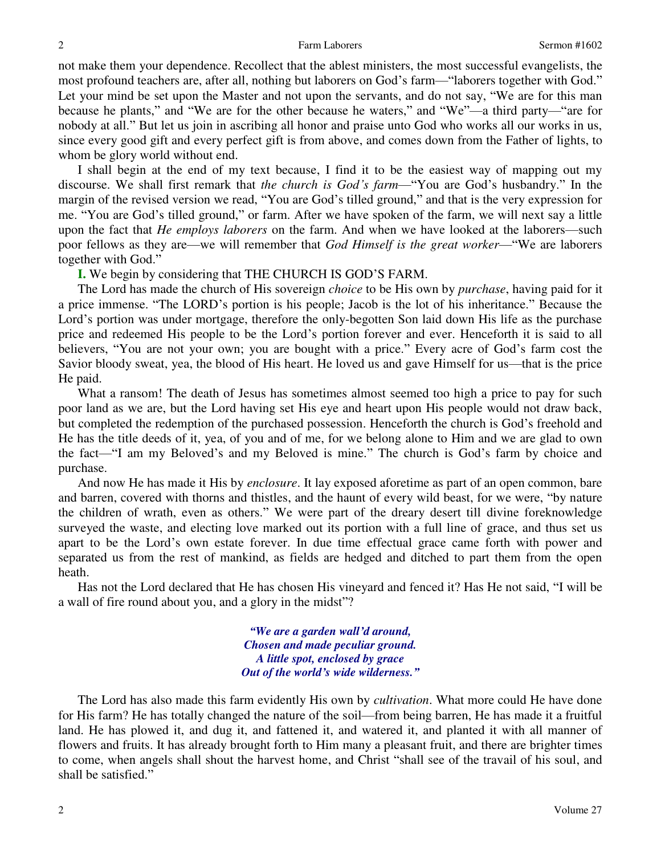not make them your dependence. Recollect that the ablest ministers, the most successful evangelists, the most profound teachers are, after all, nothing but laborers on God's farm—"laborers together with God." Let your mind be set upon the Master and not upon the servants, and do not say, "We are for this man because he plants," and "We are for the other because he waters," and "We"—a third party—"are for nobody at all." But let us join in ascribing all honor and praise unto God who works all our works in us, since every good gift and every perfect gift is from above, and comes down from the Father of lights, to whom be glory world without end.

 I shall begin at the end of my text because, I find it to be the easiest way of mapping out my discourse. We shall first remark that *the church is God's farm*—"You are God's husbandry." In the margin of the revised version we read, "You are God's tilled ground," and that is the very expression for me. "You are God's tilled ground," or farm. After we have spoken of the farm, we will next say a little upon the fact that *He employs laborers* on the farm. And when we have looked at the laborers—such poor fellows as they are—we will remember that *God Himself is the great worker*—"We are laborers together with God."

**I.** We begin by considering that THE CHURCH IS GOD'S FARM.

 The Lord has made the church of His sovereign *choice* to be His own by *purchase*, having paid for it a price immense. "The LORD's portion is his people; Jacob is the lot of his inheritance." Because the Lord's portion was under mortgage, therefore the only-begotten Son laid down His life as the purchase price and redeemed His people to be the Lord's portion forever and ever. Henceforth it is said to all believers, "You are not your own; you are bought with a price." Every acre of God's farm cost the Savior bloody sweat, yea, the blood of His heart. He loved us and gave Himself for us—that is the price He paid.

What a ransom! The death of Jesus has sometimes almost seemed too high a price to pay for such poor land as we are, but the Lord having set His eye and heart upon His people would not draw back, but completed the redemption of the purchased possession. Henceforth the church is God's freehold and He has the title deeds of it, yea, of you and of me, for we belong alone to Him and we are glad to own the fact—"I am my Beloved's and my Beloved is mine." The church is God's farm by choice and purchase.

 And now He has made it His by *enclosure*. It lay exposed aforetime as part of an open common, bare and barren, covered with thorns and thistles, and the haunt of every wild beast, for we were, "by nature the children of wrath, even as others." We were part of the dreary desert till divine foreknowledge surveyed the waste, and electing love marked out its portion with a full line of grace, and thus set us apart to be the Lord's own estate forever. In due time effectual grace came forth with power and separated us from the rest of mankind, as fields are hedged and ditched to part them from the open heath.

 Has not the Lord declared that He has chosen His vineyard and fenced it? Has He not said, "I will be a wall of fire round about you, and a glory in the midst"?

> *"We are a garden wall'd around, Chosen and made peculiar ground. A little spot, enclosed by grace Out of the world's wide wilderness."*

 The Lord has also made this farm evidently His own by *cultivation*. What more could He have done for His farm? He has totally changed the nature of the soil—from being barren, He has made it a fruitful land. He has plowed it, and dug it, and fattened it, and watered it, and planted it with all manner of flowers and fruits. It has already brought forth to Him many a pleasant fruit, and there are brighter times to come, when angels shall shout the harvest home, and Christ "shall see of the travail of his soul, and shall be satisfied."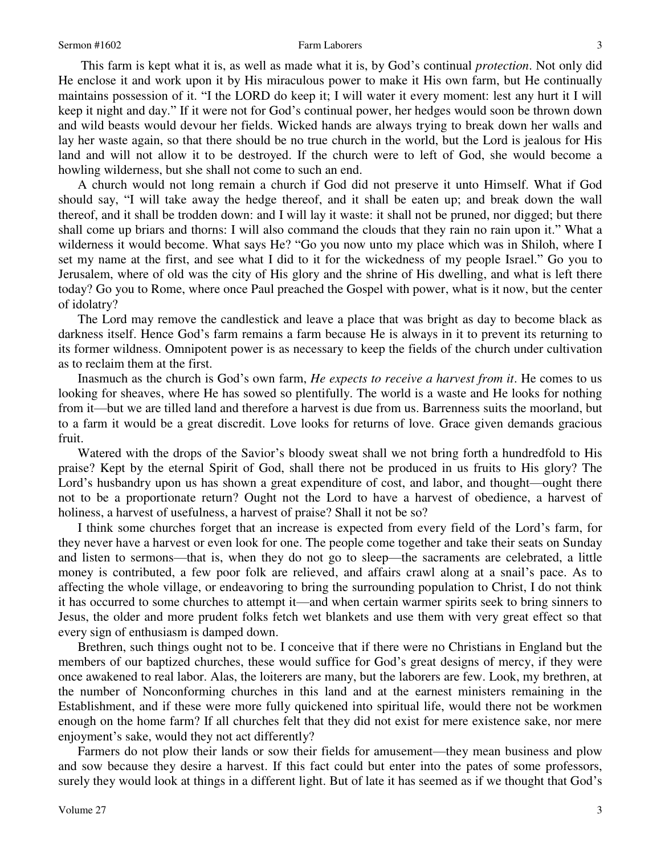This farm is kept what it is, as well as made what it is, by God's continual *protection*. Not only did He enclose it and work upon it by His miraculous power to make it His own farm, but He continually maintains possession of it. "I the LORD do keep it; I will water it every moment: lest any hurt it I will keep it night and day." If it were not for God's continual power, her hedges would soon be thrown down and wild beasts would devour her fields. Wicked hands are always trying to break down her walls and lay her waste again, so that there should be no true church in the world, but the Lord is jealous for His land and will not allow it to be destroyed. If the church were to left of God, she would become a howling wilderness, but she shall not come to such an end.

A church would not long remain a church if God did not preserve it unto Himself. What if God should say, "I will take away the hedge thereof, and it shall be eaten up; and break down the wall thereof, and it shall be trodden down: and I will lay it waste: it shall not be pruned, nor digged; but there shall come up briars and thorns: I will also command the clouds that they rain no rain upon it." What a wilderness it would become. What says He? "Go you now unto my place which was in Shiloh, where I set my name at the first, and see what I did to it for the wickedness of my people Israel." Go you to Jerusalem, where of old was the city of His glory and the shrine of His dwelling, and what is left there today? Go you to Rome, where once Paul preached the Gospel with power, what is it now, but the center of idolatry?

 The Lord may remove the candlestick and leave a place that was bright as day to become black as darkness itself. Hence God's farm remains a farm because He is always in it to prevent its returning to its former wildness. Omnipotent power is as necessary to keep the fields of the church under cultivation as to reclaim them at the first.

 Inasmuch as the church is God's own farm, *He expects to receive a harvest from it*. He comes to us looking for sheaves, where He has sowed so plentifully. The world is a waste and He looks for nothing from it—but we are tilled land and therefore a harvest is due from us. Barrenness suits the moorland, but to a farm it would be a great discredit. Love looks for returns of love. Grace given demands gracious fruit.

 Watered with the drops of the Savior's bloody sweat shall we not bring forth a hundredfold to His praise? Kept by the eternal Spirit of God, shall there not be produced in us fruits to His glory? The Lord's husbandry upon us has shown a great expenditure of cost, and labor, and thought—ought there not to be a proportionate return? Ought not the Lord to have a harvest of obedience, a harvest of holiness, a harvest of usefulness, a harvest of praise? Shall it not be so?

 I think some churches forget that an increase is expected from every field of the Lord's farm, for they never have a harvest or even look for one. The people come together and take their seats on Sunday and listen to sermons—that is, when they do not go to sleep—the sacraments are celebrated, a little money is contributed, a few poor folk are relieved, and affairs crawl along at a snail's pace. As to affecting the whole village, or endeavoring to bring the surrounding population to Christ, I do not think it has occurred to some churches to attempt it—and when certain warmer spirits seek to bring sinners to Jesus, the older and more prudent folks fetch wet blankets and use them with very great effect so that every sign of enthusiasm is damped down.

 Brethren, such things ought not to be. I conceive that if there were no Christians in England but the members of our baptized churches, these would suffice for God's great designs of mercy, if they were once awakened to real labor. Alas, the loiterers are many, but the laborers are few. Look, my brethren, at the number of Nonconforming churches in this land and at the earnest ministers remaining in the Establishment, and if these were more fully quickened into spiritual life, would there not be workmen enough on the home farm? If all churches felt that they did not exist for mere existence sake, nor mere enjoyment's sake, would they not act differently?

 Farmers do not plow their lands or sow their fields for amusement—they mean business and plow and sow because they desire a harvest. If this fact could but enter into the pates of some professors, surely they would look at things in a different light. But of late it has seemed as if we thought that God's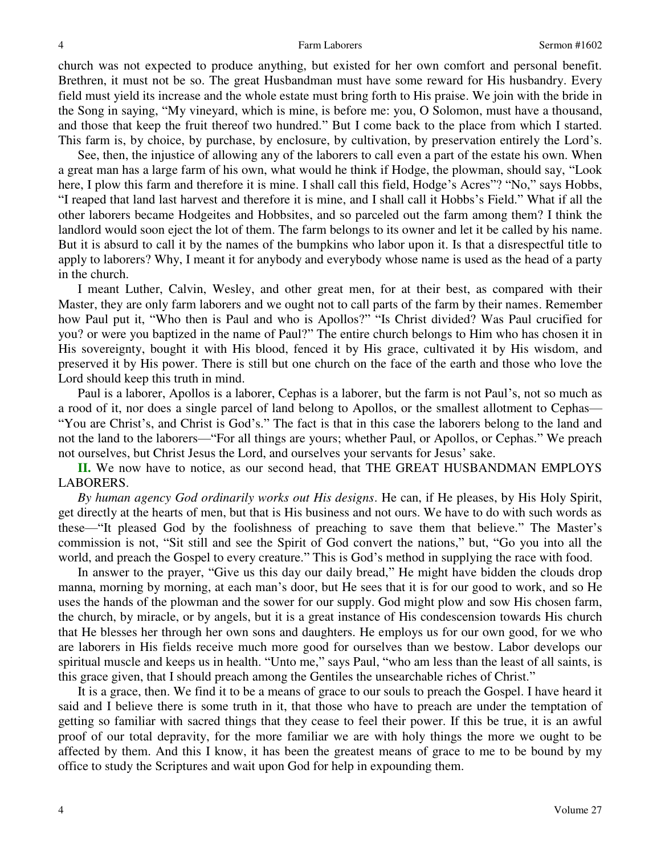church was not expected to produce anything, but existed for her own comfort and personal benefit. Brethren, it must not be so. The great Husbandman must have some reward for His husbandry. Every field must yield its increase and the whole estate must bring forth to His praise. We join with the bride in the Song in saying, "My vineyard, which is mine, is before me: you, O Solomon, must have a thousand, and those that keep the fruit thereof two hundred." But I come back to the place from which I started. This farm is, by choice, by purchase, by enclosure, by cultivation, by preservation entirely the Lord's.

 See, then, the injustice of allowing any of the laborers to call even a part of the estate his own. When a great man has a large farm of his own, what would he think if Hodge, the plowman, should say, "Look here, I plow this farm and therefore it is mine. I shall call this field, Hodge's Acres"? "No," says Hobbs, "I reaped that land last harvest and therefore it is mine, and I shall call it Hobbs's Field." What if all the other laborers became Hodgeites and Hobbsites, and so parceled out the farm among them? I think the landlord would soon eject the lot of them. The farm belongs to its owner and let it be called by his name. But it is absurd to call it by the names of the bumpkins who labor upon it. Is that a disrespectful title to apply to laborers? Why, I meant it for anybody and everybody whose name is used as the head of a party in the church.

 I meant Luther, Calvin, Wesley, and other great men, for at their best, as compared with their Master, they are only farm laborers and we ought not to call parts of the farm by their names. Remember how Paul put it, "Who then is Paul and who is Apollos?" "Is Christ divided? Was Paul crucified for you? or were you baptized in the name of Paul?" The entire church belongs to Him who has chosen it in His sovereignty, bought it with His blood, fenced it by His grace, cultivated it by His wisdom, and preserved it by His power. There is still but one church on the face of the earth and those who love the Lord should keep this truth in mind.

 Paul is a laborer, Apollos is a laborer, Cephas is a laborer, but the farm is not Paul's, not so much as a rood of it, nor does a single parcel of land belong to Apollos, or the smallest allotment to Cephas— "You are Christ's, and Christ is God's." The fact is that in this case the laborers belong to the land and not the land to the laborers—"For all things are yours; whether Paul, or Apollos, or Cephas." We preach not ourselves, but Christ Jesus the Lord, and ourselves your servants for Jesus' sake.

**II.** We now have to notice, as our second head, that THE GREAT HUSBANDMAN EMPLOYS LABORERS.

*By human agency God ordinarily works out His designs*. He can, if He pleases, by His Holy Spirit, get directly at the hearts of men, but that is His business and not ours. We have to do with such words as these—"It pleased God by the foolishness of preaching to save them that believe." The Master's commission is not, "Sit still and see the Spirit of God convert the nations," but, "Go you into all the world, and preach the Gospel to every creature." This is God's method in supplying the race with food.

 In answer to the prayer, "Give us this day our daily bread," He might have bidden the clouds drop manna, morning by morning, at each man's door, but He sees that it is for our good to work, and so He uses the hands of the plowman and the sower for our supply. God might plow and sow His chosen farm, the church, by miracle, or by angels, but it is a great instance of His condescension towards His church that He blesses her through her own sons and daughters. He employs us for our own good, for we who are laborers in His fields receive much more good for ourselves than we bestow. Labor develops our spiritual muscle and keeps us in health. "Unto me," says Paul, "who am less than the least of all saints, is this grace given, that I should preach among the Gentiles the unsearchable riches of Christ."

 It is a grace, then. We find it to be a means of grace to our souls to preach the Gospel. I have heard it said and I believe there is some truth in it, that those who have to preach are under the temptation of getting so familiar with sacred things that they cease to feel their power. If this be true, it is an awful proof of our total depravity, for the more familiar we are with holy things the more we ought to be affected by them. And this I know, it has been the greatest means of grace to me to be bound by my office to study the Scriptures and wait upon God for help in expounding them.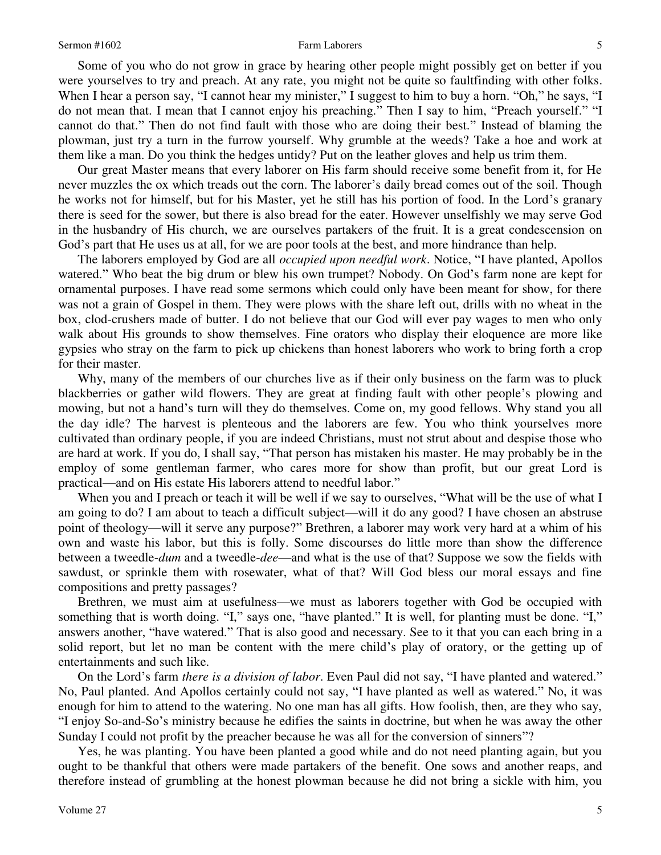Some of you who do not grow in grace by hearing other people might possibly get on better if you were yourselves to try and preach. At any rate, you might not be quite so faultfinding with other folks. When I hear a person say, "I cannot hear my minister," I suggest to him to buy a horn. "Oh," he says, "I do not mean that. I mean that I cannot enjoy his preaching." Then I say to him, "Preach yourself." "I cannot do that." Then do not find fault with those who are doing their best." Instead of blaming the plowman, just try a turn in the furrow yourself. Why grumble at the weeds? Take a hoe and work at them like a man. Do you think the hedges untidy? Put on the leather gloves and help us trim them.

 Our great Master means that every laborer on His farm should receive some benefit from it, for He never muzzles the ox which treads out the corn. The laborer's daily bread comes out of the soil. Though he works not for himself, but for his Master, yet he still has his portion of food. In the Lord's granary there is seed for the sower, but there is also bread for the eater. However unselfishly we may serve God in the husbandry of His church, we are ourselves partakers of the fruit. It is a great condescension on God's part that He uses us at all, for we are poor tools at the best, and more hindrance than help.

 The laborers employed by God are all *occupied upon needful work*. Notice, "I have planted, Apollos watered." Who beat the big drum or blew his own trumpet? Nobody. On God's farm none are kept for ornamental purposes. I have read some sermons which could only have been meant for show, for there was not a grain of Gospel in them. They were plows with the share left out, drills with no wheat in the box, clod-crushers made of butter. I do not believe that our God will ever pay wages to men who only walk about His grounds to show themselves. Fine orators who display their eloquence are more like gypsies who stray on the farm to pick up chickens than honest laborers who work to bring forth a crop for their master.

 Why, many of the members of our churches live as if their only business on the farm was to pluck blackberries or gather wild flowers. They are great at finding fault with other people's plowing and mowing, but not a hand's turn will they do themselves. Come on, my good fellows. Why stand you all the day idle? The harvest is plenteous and the laborers are few. You who think yourselves more cultivated than ordinary people, if you are indeed Christians, must not strut about and despise those who are hard at work. If you do, I shall say, "That person has mistaken his master. He may probably be in the employ of some gentleman farmer, who cares more for show than profit, but our great Lord is practical—and on His estate His laborers attend to needful labor."

When you and I preach or teach it will be well if we say to ourselves, "What will be the use of what I am going to do? I am about to teach a difficult subject—will it do any good? I have chosen an abstruse point of theology—will it serve any purpose?" Brethren, a laborer may work very hard at a whim of his own and waste his labor, but this is folly. Some discourses do little more than show the difference between a tweedle-*dum* and a tweedle-*dee*—and what is the use of that? Suppose we sow the fields with sawdust, or sprinkle them with rosewater, what of that? Will God bless our moral essays and fine compositions and pretty passages?

Brethren, we must aim at usefulness—we must as laborers together with God be occupied with something that is worth doing. "I," says one, "have planted." It is well, for planting must be done. "I," answers another, "have watered." That is also good and necessary. See to it that you can each bring in a solid report, but let no man be content with the mere child's play of oratory, or the getting up of entertainments and such like.

 On the Lord's farm *there is a division of labor*. Even Paul did not say, "I have planted and watered." No, Paul planted. And Apollos certainly could not say, "I have planted as well as watered." No, it was enough for him to attend to the watering. No one man has all gifts. How foolish, then, are they who say, "I enjoy So-and-So's ministry because he edifies the saints in doctrine, but when he was away the other Sunday I could not profit by the preacher because he was all for the conversion of sinners"?

 Yes, he was planting. You have been planted a good while and do not need planting again, but you ought to be thankful that others were made partakers of the benefit. One sows and another reaps, and therefore instead of grumbling at the honest plowman because he did not bring a sickle with him, you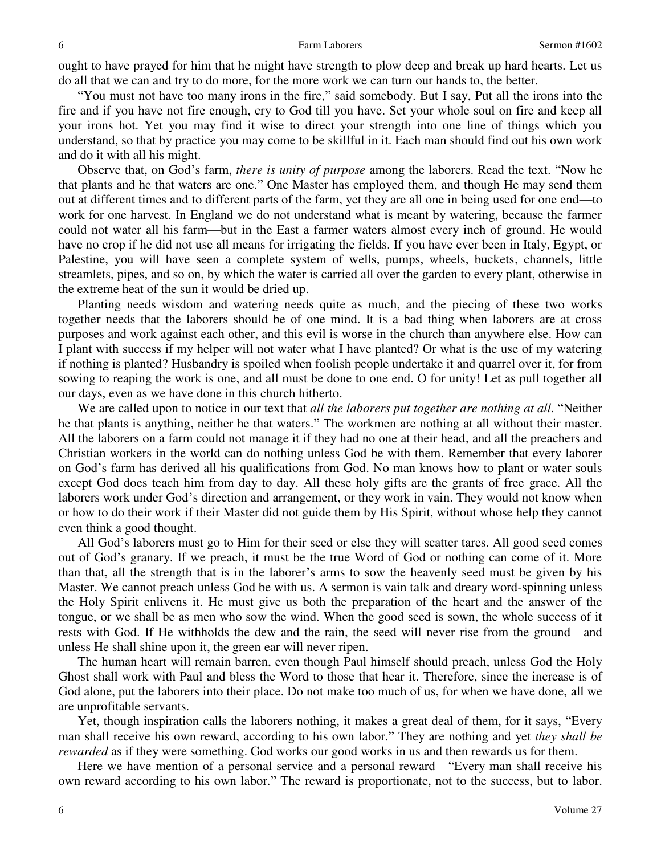ought to have prayed for him that he might have strength to plow deep and break up hard hearts. Let us do all that we can and try to do more, for the more work we can turn our hands to, the better.

"You must not have too many irons in the fire," said somebody. But I say, Put all the irons into the fire and if you have not fire enough, cry to God till you have. Set your whole soul on fire and keep all your irons hot. Yet you may find it wise to direct your strength into one line of things which you understand, so that by practice you may come to be skillful in it. Each man should find out his own work and do it with all his might.

 Observe that, on God's farm, *there is unity of purpose* among the laborers. Read the text. "Now he that plants and he that waters are one." One Master has employed them, and though He may send them out at different times and to different parts of the farm, yet they are all one in being used for one end—to work for one harvest. In England we do not understand what is meant by watering, because the farmer could not water all his farm—but in the East a farmer waters almost every inch of ground. He would have no crop if he did not use all means for irrigating the fields. If you have ever been in Italy, Egypt, or Palestine, you will have seen a complete system of wells, pumps, wheels, buckets, channels, little streamlets, pipes, and so on, by which the water is carried all over the garden to every plant, otherwise in the extreme heat of the sun it would be dried up.

 Planting needs wisdom and watering needs quite as much, and the piecing of these two works together needs that the laborers should be of one mind. It is a bad thing when laborers are at cross purposes and work against each other, and this evil is worse in the church than anywhere else. How can I plant with success if my helper will not water what I have planted? Or what is the use of my watering if nothing is planted? Husbandry is spoiled when foolish people undertake it and quarrel over it, for from sowing to reaping the work is one, and all must be done to one end. O for unity! Let as pull together all our days, even as we have done in this church hitherto.

 We are called upon to notice in our text that *all the laborers put together are nothing at all*. "Neither he that plants is anything, neither he that waters." The workmen are nothing at all without their master. All the laborers on a farm could not manage it if they had no one at their head, and all the preachers and Christian workers in the world can do nothing unless God be with them. Remember that every laborer on God's farm has derived all his qualifications from God. No man knows how to plant or water souls except God does teach him from day to day. All these holy gifts are the grants of free grace. All the laborers work under God's direction and arrangement, or they work in vain. They would not know when or how to do their work if their Master did not guide them by His Spirit, without whose help they cannot even think a good thought.

 All God's laborers must go to Him for their seed or else they will scatter tares. All good seed comes out of God's granary. If we preach, it must be the true Word of God or nothing can come of it. More than that, all the strength that is in the laborer's arms to sow the heavenly seed must be given by his Master. We cannot preach unless God be with us. A sermon is vain talk and dreary word-spinning unless the Holy Spirit enlivens it. He must give us both the preparation of the heart and the answer of the tongue, or we shall be as men who sow the wind. When the good seed is sown, the whole success of it rests with God. If He withholds the dew and the rain, the seed will never rise from the ground—and unless He shall shine upon it, the green ear will never ripen.

 The human heart will remain barren, even though Paul himself should preach, unless God the Holy Ghost shall work with Paul and bless the Word to those that hear it. Therefore, since the increase is of God alone, put the laborers into their place. Do not make too much of us, for when we have done, all we are unprofitable servants.

 Yet, though inspiration calls the laborers nothing, it makes a great deal of them, for it says, "Every man shall receive his own reward, according to his own labor." They are nothing and yet *they shall be rewarded* as if they were something. God works our good works in us and then rewards us for them.

Here we have mention of a personal service and a personal reward—"Every man shall receive his own reward according to his own labor." The reward is proportionate, not to the success, but to labor.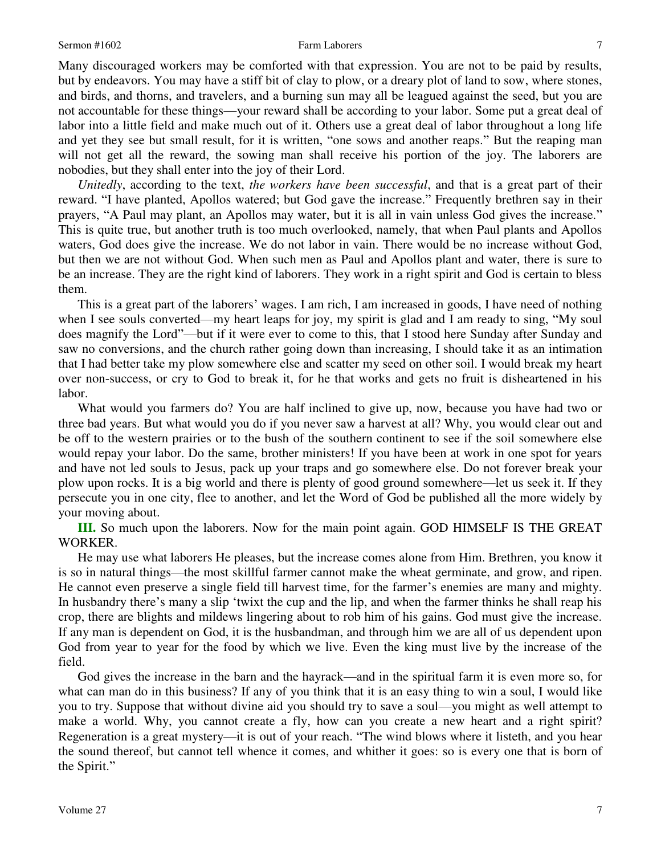## Sermon #1602 **Farm Laborers** Farm Laborers 7

Many discouraged workers may be comforted with that expression. You are not to be paid by results, but by endeavors. You may have a stiff bit of clay to plow, or a dreary plot of land to sow, where stones, and birds, and thorns, and travelers, and a burning sun may all be leagued against the seed, but you are not accountable for these things—your reward shall be according to your labor. Some put a great deal of labor into a little field and make much out of it. Others use a great deal of labor throughout a long life and yet they see but small result, for it is written, "one sows and another reaps." But the reaping man will not get all the reward, the sowing man shall receive his portion of the joy. The laborers are nobodies, but they shall enter into the joy of their Lord.

*Unitedly*, according to the text, *the workers have been successful*, and that is a great part of their reward. "I have planted, Apollos watered; but God gave the increase." Frequently brethren say in their prayers, "A Paul may plant, an Apollos may water, but it is all in vain unless God gives the increase." This is quite true, but another truth is too much overlooked, namely, that when Paul plants and Apollos waters, God does give the increase. We do not labor in vain. There would be no increase without God, but then we are not without God. When such men as Paul and Apollos plant and water, there is sure to be an increase. They are the right kind of laborers. They work in a right spirit and God is certain to bless them.

 This is a great part of the laborers' wages. I am rich, I am increased in goods, I have need of nothing when I see souls converted—my heart leaps for joy, my spirit is glad and I am ready to sing, "My soul does magnify the Lord"—but if it were ever to come to this, that I stood here Sunday after Sunday and saw no conversions, and the church rather going down than increasing, I should take it as an intimation that I had better take my plow somewhere else and scatter my seed on other soil. I would break my heart over non-success, or cry to God to break it, for he that works and gets no fruit is disheartened in his labor.

 What would you farmers do? You are half inclined to give up, now, because you have had two or three bad years. But what would you do if you never saw a harvest at all? Why, you would clear out and be off to the western prairies or to the bush of the southern continent to see if the soil somewhere else would repay your labor. Do the same, brother ministers! If you have been at work in one spot for years and have not led souls to Jesus, pack up your traps and go somewhere else. Do not forever break your plow upon rocks. It is a big world and there is plenty of good ground somewhere—let us seek it. If they persecute you in one city, flee to another, and let the Word of God be published all the more widely by your moving about.

**III.** So much upon the laborers. Now for the main point again. GOD HIMSELF IS THE GREAT WORKER.

 He may use what laborers He pleases, but the increase comes alone from Him. Brethren, you know it is so in natural things—the most skillful farmer cannot make the wheat germinate, and grow, and ripen. He cannot even preserve a single field till harvest time, for the farmer's enemies are many and mighty. In husbandry there's many a slip 'twixt the cup and the lip, and when the farmer thinks he shall reap his crop, there are blights and mildews lingering about to rob him of his gains. God must give the increase. If any man is dependent on God, it is the husbandman, and through him we are all of us dependent upon God from year to year for the food by which we live. Even the king must live by the increase of the field.

 God gives the increase in the barn and the hayrack—and in the spiritual farm it is even more so, for what can man do in this business? If any of you think that it is an easy thing to win a soul, I would like you to try. Suppose that without divine aid you should try to save a soul—you might as well attempt to make a world. Why, you cannot create a fly, how can you create a new heart and a right spirit? Regeneration is a great mystery—it is out of your reach. "The wind blows where it listeth, and you hear the sound thereof, but cannot tell whence it comes, and whither it goes: so is every one that is born of the Spirit."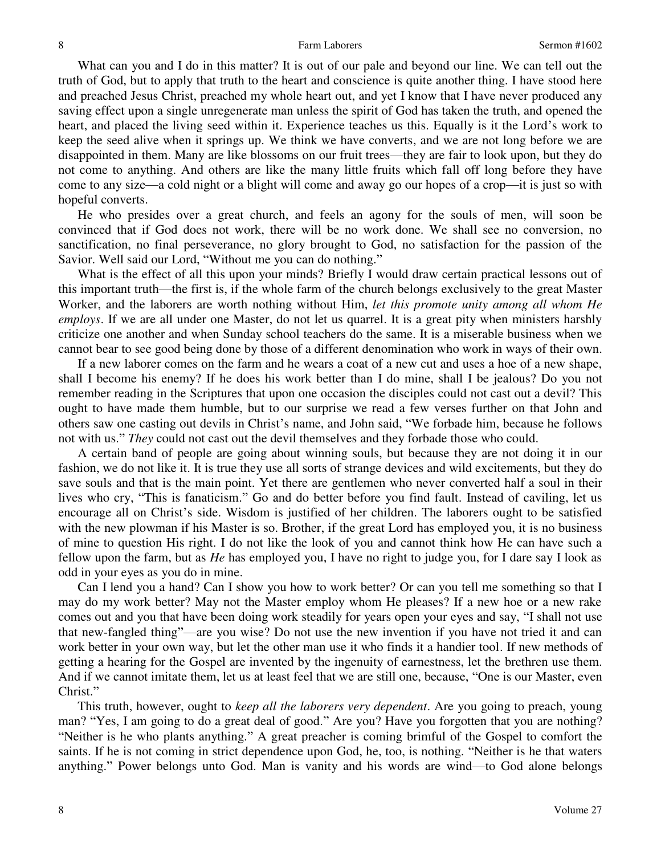What can you and I do in this matter? It is out of our pale and beyond our line. We can tell out the truth of God, but to apply that truth to the heart and conscience is quite another thing. I have stood here and preached Jesus Christ, preached my whole heart out, and yet I know that I have never produced any saving effect upon a single unregenerate man unless the spirit of God has taken the truth, and opened the heart, and placed the living seed within it. Experience teaches us this. Equally is it the Lord's work to keep the seed alive when it springs up. We think we have converts, and we are not long before we are disappointed in them. Many are like blossoms on our fruit trees—they are fair to look upon, but they do not come to anything. And others are like the many little fruits which fall off long before they have come to any size—a cold night or a blight will come and away go our hopes of a crop—it is just so with hopeful converts.

 He who presides over a great church, and feels an agony for the souls of men, will soon be convinced that if God does not work, there will be no work done. We shall see no conversion, no sanctification, no final perseverance, no glory brought to God, no satisfaction for the passion of the Savior. Well said our Lord, "Without me you can do nothing."

 What is the effect of all this upon your minds? Briefly I would draw certain practical lessons out of this important truth—the first is, if the whole farm of the church belongs exclusively to the great Master Worker, and the laborers are worth nothing without Him, *let this promote unity among all whom He employs*. If we are all under one Master, do not let us quarrel. It is a great pity when ministers harshly criticize one another and when Sunday school teachers do the same. It is a miserable business when we cannot bear to see good being done by those of a different denomination who work in ways of their own.

 If a new laborer comes on the farm and he wears a coat of a new cut and uses a hoe of a new shape, shall I become his enemy? If he does his work better than I do mine, shall I be jealous? Do you not remember reading in the Scriptures that upon one occasion the disciples could not cast out a devil? This ought to have made them humble, but to our surprise we read a few verses further on that John and others saw one casting out devils in Christ's name, and John said, "We forbade him, because he follows not with us." *They* could not cast out the devil themselves and they forbade those who could.

 A certain band of people are going about winning souls, but because they are not doing it in our fashion, we do not like it. It is true they use all sorts of strange devices and wild excitements, but they do save souls and that is the main point. Yet there are gentlemen who never converted half a soul in their lives who cry, "This is fanaticism." Go and do better before you find fault. Instead of caviling, let us encourage all on Christ's side. Wisdom is justified of her children. The laborers ought to be satisfied with the new plowman if his Master is so. Brother, if the great Lord has employed you, it is no business of mine to question His right. I do not like the look of you and cannot think how He can have such a fellow upon the farm, but as *He* has employed you, I have no right to judge you, for I dare say I look as odd in your eyes as you do in mine.

 Can I lend you a hand? Can I show you how to work better? Or can you tell me something so that I may do my work better? May not the Master employ whom He pleases? If a new hoe or a new rake comes out and you that have been doing work steadily for years open your eyes and say, "I shall not use that new-fangled thing"—are you wise? Do not use the new invention if you have not tried it and can work better in your own way, but let the other man use it who finds it a handier tool. If new methods of getting a hearing for the Gospel are invented by the ingenuity of earnestness, let the brethren use them. And if we cannot imitate them, let us at least feel that we are still one, because, "One is our Master, even Christ."

 This truth, however, ought to *keep all the laborers very dependent*. Are you going to preach, young man? "Yes, I am going to do a great deal of good." Are you? Have you forgotten that you are nothing? "Neither is he who plants anything." A great preacher is coming brimful of the Gospel to comfort the saints. If he is not coming in strict dependence upon God, he, too, is nothing. "Neither is he that waters anything." Power belongs unto God. Man is vanity and his words are wind—to God alone belongs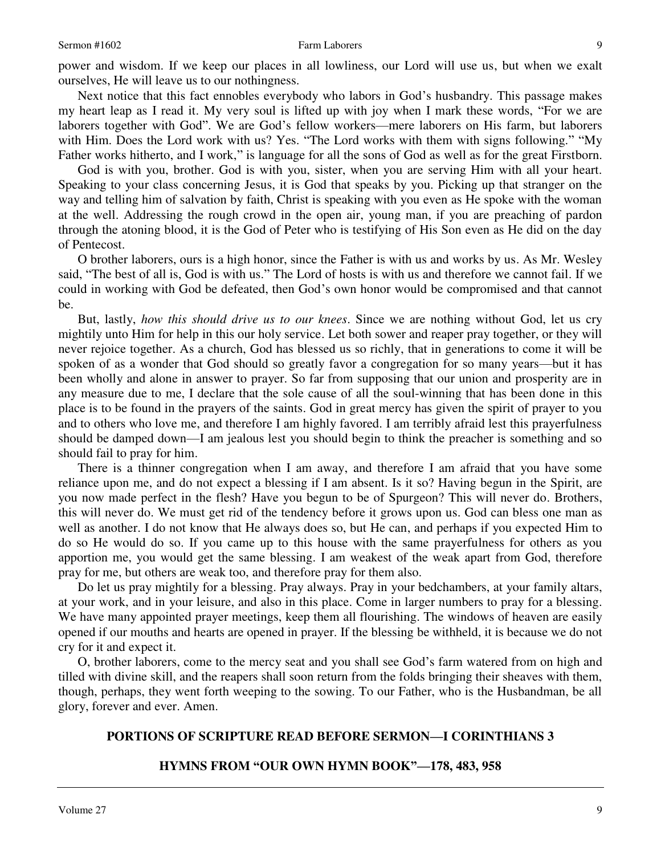power and wisdom. If we keep our places in all lowliness, our Lord will use us, but when we exalt ourselves, He will leave us to our nothingness.

 Next notice that this fact ennobles everybody who labors in God's husbandry. This passage makes my heart leap as I read it. My very soul is lifted up with joy when I mark these words, "For we are laborers together with God". We are God's fellow workers—mere laborers on His farm, but laborers with Him. Does the Lord work with us? Yes. "The Lord works with them with signs following." "My Father works hitherto, and I work," is language for all the sons of God as well as for the great Firstborn.

 God is with you, brother. God is with you, sister, when you are serving Him with all your heart. Speaking to your class concerning Jesus, it is God that speaks by you. Picking up that stranger on the way and telling him of salvation by faith, Christ is speaking with you even as He spoke with the woman at the well. Addressing the rough crowd in the open air, young man, if you are preaching of pardon through the atoning blood, it is the God of Peter who is testifying of His Son even as He did on the day of Pentecost.

O brother laborers, ours is a high honor, since the Father is with us and works by us. As Mr. Wesley said, "The best of all is, God is with us." The Lord of hosts is with us and therefore we cannot fail. If we could in working with God be defeated, then God's own honor would be compromised and that cannot be.

 But, lastly, *how this should drive us to our knees*. Since we are nothing without God, let us cry mightily unto Him for help in this our holy service. Let both sower and reaper pray together, or they will never rejoice together. As a church, God has blessed us so richly, that in generations to come it will be spoken of as a wonder that God should so greatly favor a congregation for so many years—but it has been wholly and alone in answer to prayer. So far from supposing that our union and prosperity are in any measure due to me, I declare that the sole cause of all the soul-winning that has been done in this place is to be found in the prayers of the saints. God in great mercy has given the spirit of prayer to you and to others who love me, and therefore I am highly favored. I am terribly afraid lest this prayerfulness should be damped down—I am jealous lest you should begin to think the preacher is something and so should fail to pray for him.

 There is a thinner congregation when I am away, and therefore I am afraid that you have some reliance upon me, and do not expect a blessing if I am absent. Is it so? Having begun in the Spirit, are you now made perfect in the flesh? Have you begun to be of Spurgeon? This will never do. Brothers, this will never do. We must get rid of the tendency before it grows upon us. God can bless one man as well as another. I do not know that He always does so, but He can, and perhaps if you expected Him to do so He would do so. If you came up to this house with the same prayerfulness for others as you apportion me, you would get the same blessing. I am weakest of the weak apart from God, therefore pray for me, but others are weak too, and therefore pray for them also.

 Do let us pray mightily for a blessing. Pray always. Pray in your bedchambers, at your family altars, at your work, and in your leisure, and also in this place. Come in larger numbers to pray for a blessing. We have many appointed prayer meetings, keep them all flourishing. The windows of heaven are easily opened if our mouths and hearts are opened in prayer. If the blessing be withheld, it is because we do not cry for it and expect it.

 O, brother laborers, come to the mercy seat and you shall see God's farm watered from on high and tilled with divine skill, and the reapers shall soon return from the folds bringing their sheaves with them, though, perhaps, they went forth weeping to the sowing. To our Father, who is the Husbandman, be all glory, forever and ever. Amen.

# **PORTIONS OF SCRIPTURE READ BEFORE SERMON—I CORINTHIANS 3**

## **HYMNS FROM "OUR OWN HYMN BOOK"—178, 483, 958**